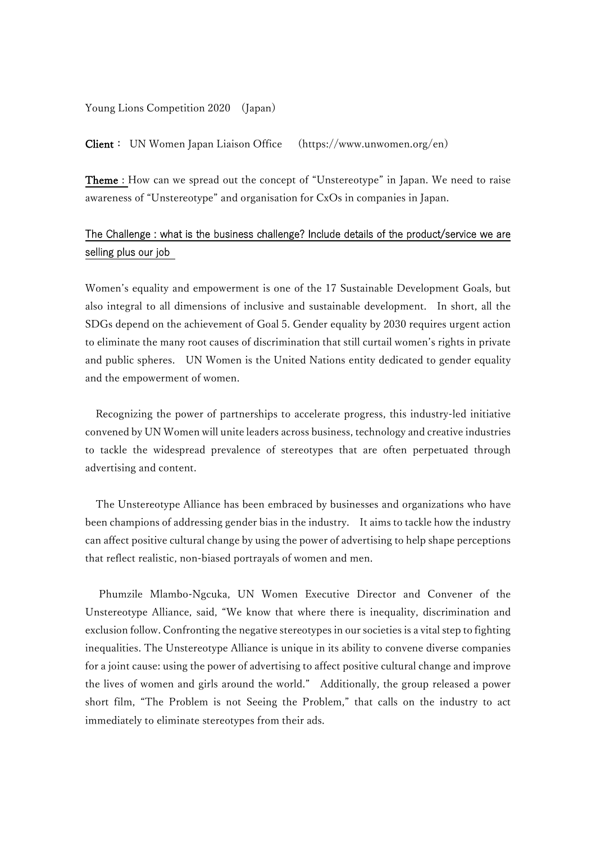#### Young Lions Competition 2020 (Japan)

Client: UN Women Japan Liaison Office (https://www.unwomen.org/en)

Theme : How can we spread out the concept of "Unstereotype" in Japan. We need to raise awareness of "Unstereotype" and organisation for CxOs in companies in Japan.

## The Challenge : what is the business challenge? Include details of the product/service we are selling plus our job

Women's equality and empowerment is one of the 17 Sustainable Development Goals, but also integral to all dimensions of inclusive and sustainable development. In short, all the SDGs depend on the achievement of Goal 5. Gender equality by 2030 requires urgent action to eliminate the many root causes of discrimination that still curtail women's rights in private and public spheres. UN Women is the United Nations entity dedicated to gender equality and the empowerment of women.

Recognizing the power of partnerships to accelerate progress, this industry-led initiative convened by UN Women will unite leaders across business, technology and creative industries to tackle the widespread prevalence of stereotypes that are often perpetuated through advertising and content.

The Unstereotype Alliance has been embraced by businesses and organizations who have been champions of addressing gender bias in the industry. It aims to tackle how the industry can affect positive cultural change by using the power of advertising to help shape perceptions that reflect realistic, non-biased portrayals of women and men.

Phumzile Mlambo-Ngcuka, UN Women Executive Director and Convener of the Unstereotype Alliance, said, "We know that where there is inequality, discrimination and exclusion follow. Confronting the negative stereotypes in our societies is a vital step to fighting inequalities. The Unstereotype Alliance is unique in its ability to convene diverse companies for a joint cause: using the power of advertising to affect positive cultural change and improve the lives of women and girls around the world." Additionally, the group released a power short film, "The Problem is not Seeing the Problem," that calls on the industry to act immediately to eliminate stereotypes from their ads.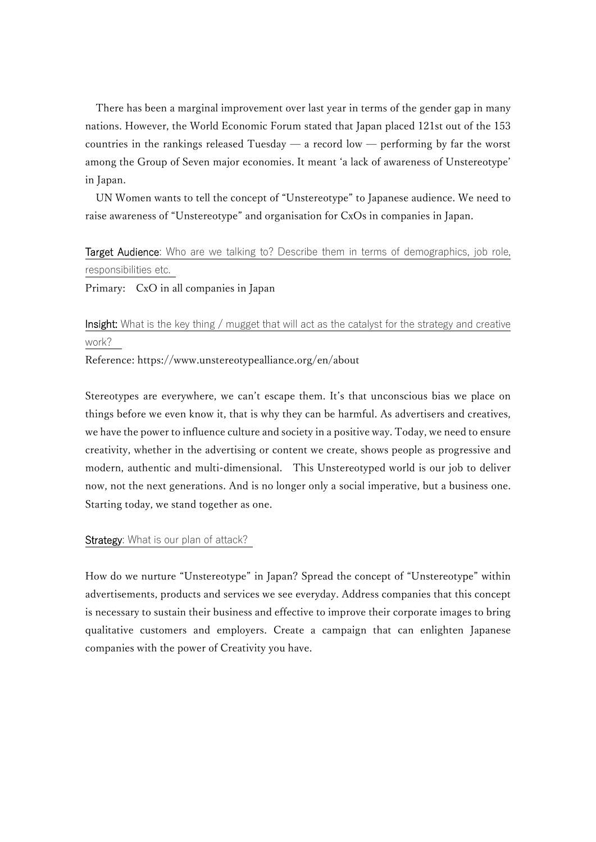There has been a marginal improvement over last year in terms of the gender gap in many nations. However, the World Economic Forum stated that Japan placed 121st out of the 153 countries in the rankings released Tuesday  $-$  a record low  $-$  performing by far the worst among the Group of Seven major economies. It meant 'a lack of awareness of Unstereotype' in Japan.

UN Women wants to tell the concept of "Unstereotype" to Japanese audience. We need to raise awareness of "Unstereotype" and organisation for CxOs in companies in Japan.

# Target Audience: Who are we talking to? Describe them in terms of demographics, job role, responsibilities etc.

Primary: CxO in all companies in Japan

# Insight: What is the key thing / mugget that will act as the catalyst for the strategy and creative work?

Reference: https://www.unstereotypealliance.org/en/about

Stereotypes are everywhere, we can't escape them. It's that unconscious bias we place on things before we even know it, that is why they can be harmful. As advertisers and creatives, we have the power to influence culture and society in a positive way. Today, we need to ensure creativity, whether in the advertising or content we create, shows people as progressive and modern, authentic and multi-dimensional. This Unstereotyped world is our job to deliver now, not the next generations. And is no longer only a social imperative, but a business one. Starting today, we stand together as one.

### Strategy: What is our plan of attack?

How do we nurture "Unstereotype" in Japan? Spread the concept of "Unstereotype" within advertisements, products and services we see everyday. Address companies that this concept is necessary to sustain their business and effective to improve their corporate images to bring qualitative customers and employers. Create a campaign that can enlighten Japanese companies with the power of Creativity you have.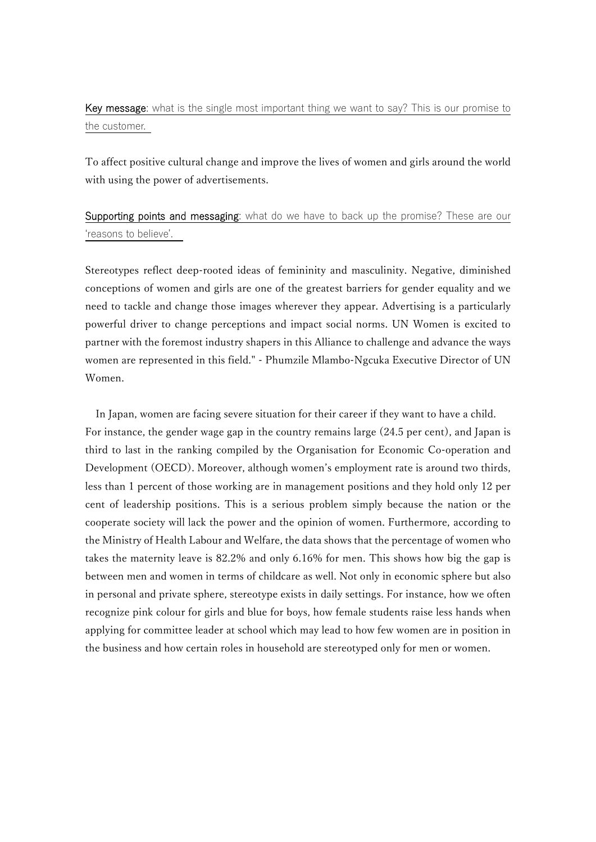Key message: what is the single most important thing we want to say? This is our promise to the customer.

To affect positive cultural change and improve the lives of women and girls around the world with using the power of advertisements.

Supporting points and messaging: what do we have to back up the promise? These are our ʻreasons to believe'.

Stereotypes reflect deep-rooted ideas of femininity and masculinity. Negative, diminished conceptions of women and girls are one of the greatest barriers for gender equality and we need to tackle and change those images wherever they appear. Advertising is a particularly powerful driver to change perceptions and impact social norms. UN Women is excited to partner with the foremost industry shapers in this Alliance to challenge and advance the ways women are represented in this field." - Phumzile Mlambo-Ngcuka Executive Director of UN Women.

In Japan, women are facing severe situation for their career if they want to have a child. For instance, the gender wage gap in the country remains large (24.5 per cent), and Japan is third to last in the ranking compiled by the Organisation for Economic Co-operation and Development (OECD). Moreover, although women's employment rate is around two thirds, less than 1 percent of those working are in management positions and they hold only 12 per cent of leadership positions. This is a serious problem simply because the nation or the cooperate society will lack the power and the opinion of women. Furthermore, according to the Ministry of Health Labour and Welfare, the data shows that the percentage of women who takes the maternity leave is 82.2% and only 6.16% for men. This shows how big the gap is between men and women in terms of childcare as well. Not only in economic sphere but also in personal and private sphere, stereotype exists in daily settings. For instance, how we often recognize pink colour for girls and blue for boys, how female students raise less hands when applying for committee leader at school which may lead to how few women are in position in the business and how certain roles in household are stereotyped only for men or women.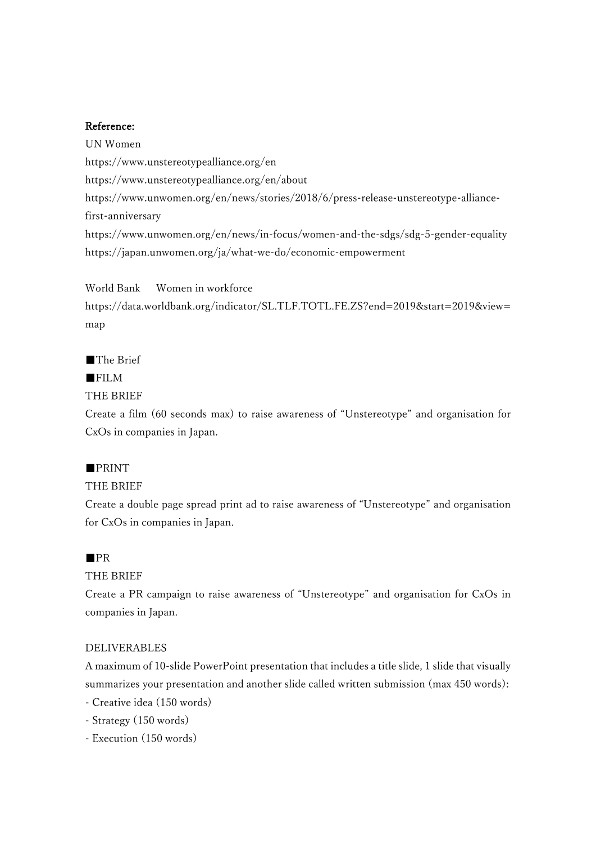#### Reference:

UN Women https://www.unstereotypealliance.org/en https://www.unstereotypealliance.org/en/about https://www.unwomen.org/en/news/stories/2018/6/press-release-unstereotype-alliancefirst-anniversary https://www.unwomen.org/en/news/in-focus/women-and-the-sdgs/sdg-5-gender-equality https://japan.unwomen.org/ja/what-we-do/economic-empowerment

World Bank Women in workforce https://data.worldbank.org/indicator/SL.TLF.TOTL.FE.ZS?end=2019&start=2019&view= map

■The Brief

### ■FILM

THE BRIEF

Create a film (60 seconds max) to raise awareness of "Unstereotype" and organisation for CxOs in companies in Japan.

## ■PRINT

### THE BRIEF

Create a double page spread print ad to raise awareness of "Unstereotype" and organisation for CxOs in companies in Japan.

### ■PR

### THE BRIEF

Create a PR campaign to raise awareness of "Unstereotype" and organisation for CxOs in companies in Japan.

### DELIVERABLES

A maximum of 10-slide PowerPoint presentation that includes a title slide, 1 slide that visually summarizes your presentation and another slide called written submission (max 450 words):

- Creative idea (150 words)
- Strategy (150 words)
- Execution (150 words)